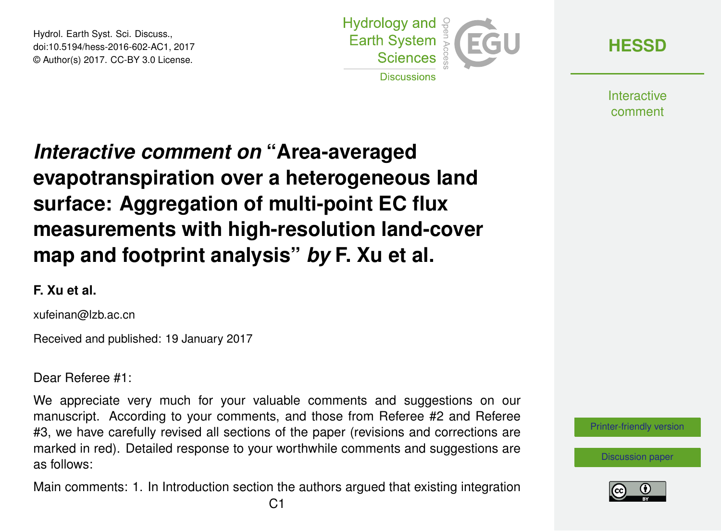Hydrol. Earth Syst. Sci. Discuss., doi:10.5194/hess-2016-602-AC1, 2017 © Author(s) 2017. CC-BY 3.0 License.



**[HESSD](http://www.hydrol-earth-syst-sci-discuss.net/)**

**Interactive** comment

# *Interactive comment on* **"Area-averaged evapotranspiration over a heterogeneous land surface: Aggregation of multi-point EC flux measurements with high-resolution land-cover map and footprint analysis"** *by* **F. Xu et al.**

### **F. Xu et al.**

xufeinan@lzb.ac.cn

Received and published: 19 January 2017

Dear Referee #1:

We appreciate very much for your valuable comments and suggestions on our manuscript. According to your comments, and those from Referee #2 and Referee #3, we have carefully revised all sections of the paper (revisions and corrections are marked in red). Detailed response to your worthwhile comments and suggestions are as follows:

Main comments: 1. In Introduction section the authors argued that existing integration



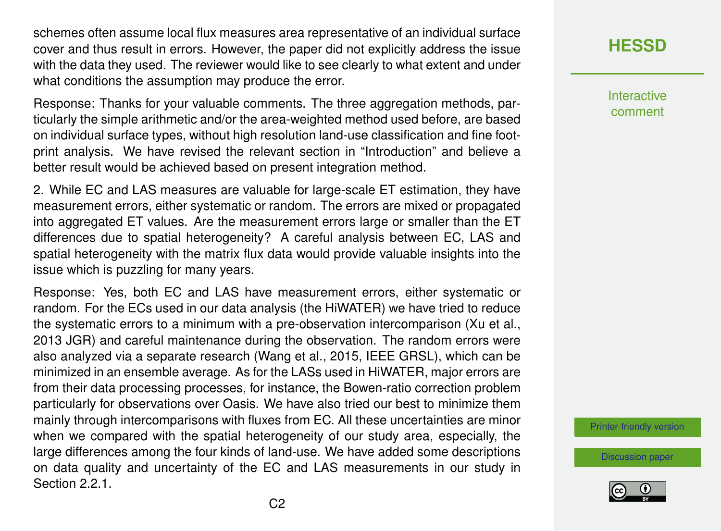schemes often assume local flux measures area representative of an individual surface cover and thus result in errors. However, the paper did not explicitly address the issue with the data they used. The reviewer would like to see clearly to what extent and under what conditions the assumption may produce the error.

Response: Thanks for your valuable comments. The three aggregation methods, particularly the simple arithmetic and/or the area-weighted method used before, are based on individual surface types, without high resolution land-use classification and fine footprint analysis. We have revised the relevant section in "Introduction" and believe a better result would be achieved based on present integration method.

2. While EC and LAS measures are valuable for large-scale ET estimation, they have measurement errors, either systematic or random. The errors are mixed or propagated into aggregated ET values. Are the measurement errors large or smaller than the ET differences due to spatial heterogeneity? A careful analysis between EC, LAS and spatial heterogeneity with the matrix flux data would provide valuable insights into the issue which is puzzling for many years.

Response: Yes, both EC and LAS have measurement errors, either systematic or random. For the ECs used in our data analysis (the HiWATER) we have tried to reduce the systematic errors to a minimum with a pre-observation intercomparison (Xu et al., 2013 JGR) and careful maintenance during the observation. The random errors were also analyzed via a separate research (Wang et al., 2015, IEEE GRSL), which can be minimized in an ensemble average. As for the LASs used in HiWATER, major errors are from their data processing processes, for instance, the Bowen-ratio correction problem particularly for observations over Oasis. We have also tried our best to minimize them mainly through intercomparisons with fluxes from EC. All these uncertainties are minor when we compared with the spatial heterogeneity of our study area, especially, the large differences among the four kinds of land-use. We have added some descriptions on data quality and uncertainty of the EC and LAS measurements in our study in Section 2.2.1.

## **[HESSD](http://www.hydrol-earth-syst-sci-discuss.net/)**

**Interactive** comment

[Printer-friendly version](http://www.hydrol-earth-syst-sci-discuss.net/hess-2016-602/hess-2016-602-AC1-print.pdf)

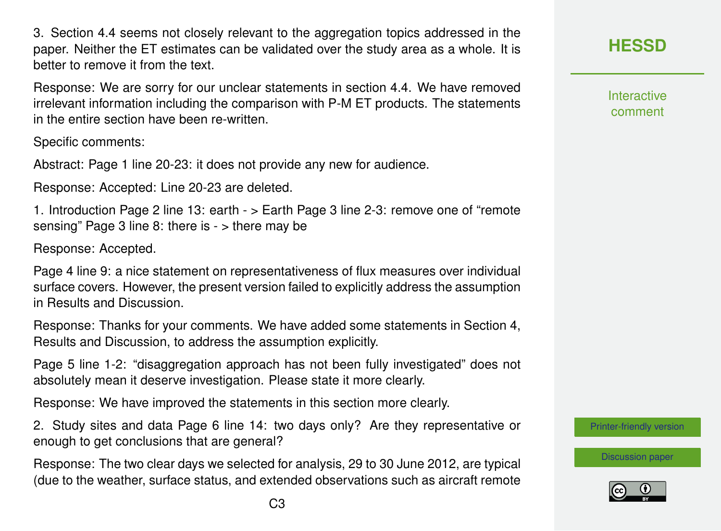3. Section 4.4 seems not closely relevant to the aggregation topics addressed in the paper. Neither the ET estimates can be validated over the study area as a whole. It is better to remove it from the text.

Response: We are sorry for our unclear statements in section 4.4. We have removed irrelevant information including the comparison with P-M ET products. The statements in the entire section have been re-written.

Specific comments:

Abstract: Page 1 line 20-23: it does not provide any new for audience.

Response: Accepted: Line 20-23 are deleted.

1. Introduction Page 2 line 13: earth - > Earth Page 3 line 2-3: remove one of "remote sensing" Page 3 line 8: there is - > there may be

Response: Accepted.

Page 4 line 9: a nice statement on representativeness of flux measures over individual surface covers. However, the present version failed to explicitly address the assumption in Results and Discussion.

Response: Thanks for your comments. We have added some statements in Section 4, Results and Discussion, to address the assumption explicitly.

Page 5 line 1-2: "disaggregation approach has not been fully investigated" does not absolutely mean it deserve investigation. Please state it more clearly.

Response: We have improved the statements in this section more clearly.

2. Study sites and data Page 6 line 14: two days only? Are they representative or enough to get conclusions that are general?

Response: The two clear days we selected for analysis, 29 to 30 June 2012, are typical (due to the weather, surface status, and extended observations such as aircraft remote **Interactive** comment

[Printer-friendly version](http://www.hydrol-earth-syst-sci-discuss.net/hess-2016-602/hess-2016-602-AC1-print.pdf)

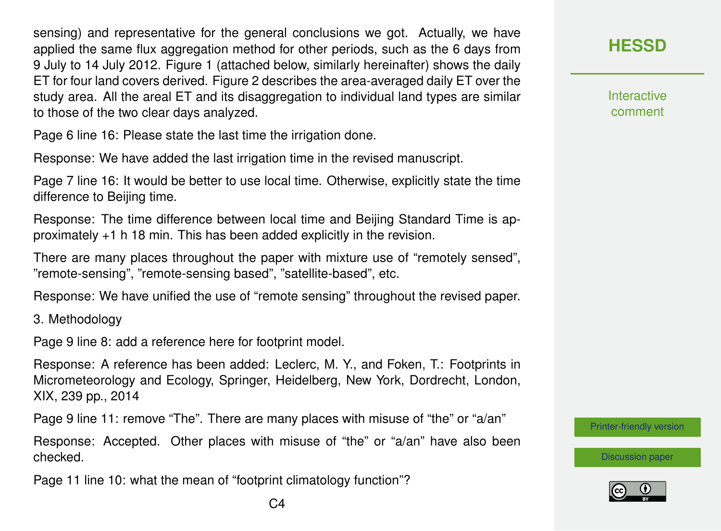sensing) and representative for the general conclusions we got. Actually, we have applied the same flux aggregation method for other periods, such as the 6 days from 9 July to 14 July 2012. Figure 1 (attached below, similarly hereinafter) shows the daily ET for four land covers derived. Figure 2 describes the area-averaged daily ET over the study area. All the areal ET and its disaggregation to individual land types are similar to those of the two clear days analyzed.

Page 6 line 16: Please state the last time the irrigation done.

Response: We have added the last irrigation time in the revised manuscript.

Page 7 line 16: It would be better to use local time. Otherwise, explicitly state the time difference to Beijing time.

Response: The time difference between local time and Beijing Standard Time is approximately +1 h 18 min. This has been added explicitly in the revision.

There are many places throughout the paper with mixture use of "remotely sensed", "remote-sensing", "remote-sensing based", "satellite-based", etc.

Response: We have unified the use of "remote sensing" throughout the revised paper.

3. Methodology

Page 9 line 8: add a reference here for footprint model.

Response: A reference has been added: Leclerc, M. Y., and Foken, T.: Footprints in Micrometeorology and Ecology, Springer, Heidelberg, New York, Dordrecht, London, XIX, 239 pp., 2014

Page 9 line 11: remove "The". There are many places with misuse of "the" or "a/an"

Response: Accepted. Other places with misuse of "the" or "a/an" have also been checked.

Page 11 line 10: what the mean of "footprint climatology function"?

**[HESSD](http://www.hydrol-earth-syst-sci-discuss.net/)**

**Interactive** comment

[Printer-friendly version](http://www.hydrol-earth-syst-sci-discuss.net/hess-2016-602/hess-2016-602-AC1-print.pdf)

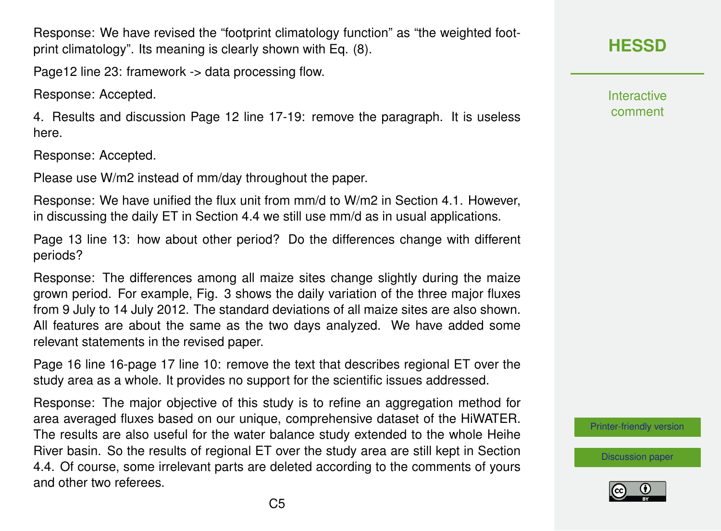Response: We have revised the "footprint climatology function" as "the weighted footprint climatology". Its meaning is clearly shown with Eq. (8).

Page12 line 23: framework -> data processing flow.

Response: Accepted.

4. Results and discussion Page 12 line 17-19: remove the paragraph. It is useless here.

Response: Accepted.

Please use W/m2 instead of mm/day throughout the paper.

Response: We have unified the flux unit from mm/d to W/m2 in Section 4.1. However, in discussing the daily ET in Section 4.4 we still use mm/d as in usual applications.

Page 13 line 13: how about other period? Do the differences change with different periods?

Response: The differences among all maize sites change slightly during the maize grown period. For example, Fig. 3 shows the daily variation of the three major fluxes from 9 July to 14 July 2012. The standard deviations of all maize sites are also shown. All features are about the same as the two days analyzed. We have added some relevant statements in the revised paper.

Page 16 line 16-page 17 line 10: remove the text that describes regional ET over the study area as a whole. It provides no support for the scientific issues addressed.

Response: The major objective of this study is to refine an aggregation method for area averaged fluxes based on our unique, comprehensive dataset of the HiWATER. The results are also useful for the water balance study extended to the whole Heihe River basin. So the results of regional ET over the study area are still kept in Section 4.4. Of course, some irrelevant parts are deleted according to the comments of yours and other two referees.

**Interactive** comment

[Printer-friendly version](http://www.hydrol-earth-syst-sci-discuss.net/hess-2016-602/hess-2016-602-AC1-print.pdf)

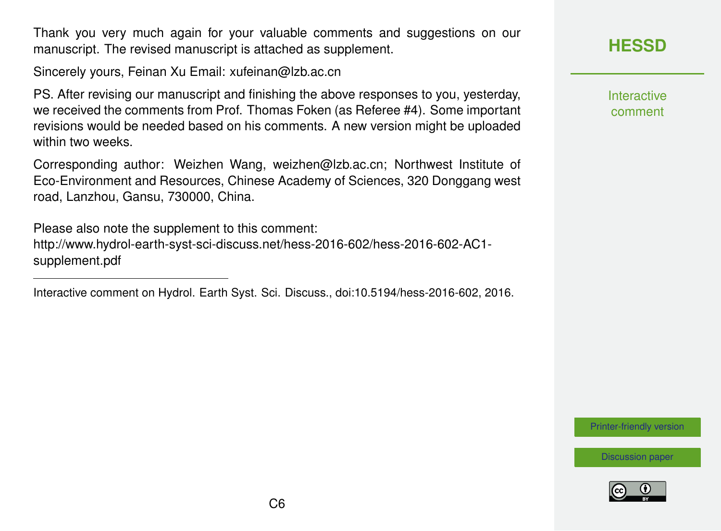Thank you very much again for your valuable comments and suggestions on our manuscript. The revised manuscript is attached as supplement.

Sincerely yours, Feinan Xu Email: xufeinan@lzb.ac.cn

PS. After revising our manuscript and finishing the above responses to you, yesterday, we received the comments from Prof. Thomas Foken (as Referee #4). Some important revisions would be needed based on his comments. A new version might be uploaded within two weeks.

Corresponding author: Weizhen Wang, weizhen@lzb.ac.cn; Northwest Institute of Eco-Environment and Resources, Chinese Academy of Sciences, 320 Donggang west road, Lanzhou, Gansu, 730000, China.

Please also note the supplement to this comment: [http://www.hydrol-earth-syst-sci-discuss.net/hess-2016-602/hess-2016-602-AC1](http://www.hydrol-earth-syst-sci-discuss.net/hess-2016-602/hess-2016-602-AC1-supplement.pdf) [supplement.pdf](http://www.hydrol-earth-syst-sci-discuss.net/hess-2016-602/hess-2016-602-AC1-supplement.pdf)

Interactive comment on Hydrol. Earth Syst. Sci. Discuss., doi:10.5194/hess-2016-602, 2016.

**[HESSD](http://www.hydrol-earth-syst-sci-discuss.net/)**

Interactive comment

[Printer-friendly version](http://www.hydrol-earth-syst-sci-discuss.net/hess-2016-602/hess-2016-602-AC1-print.pdf)

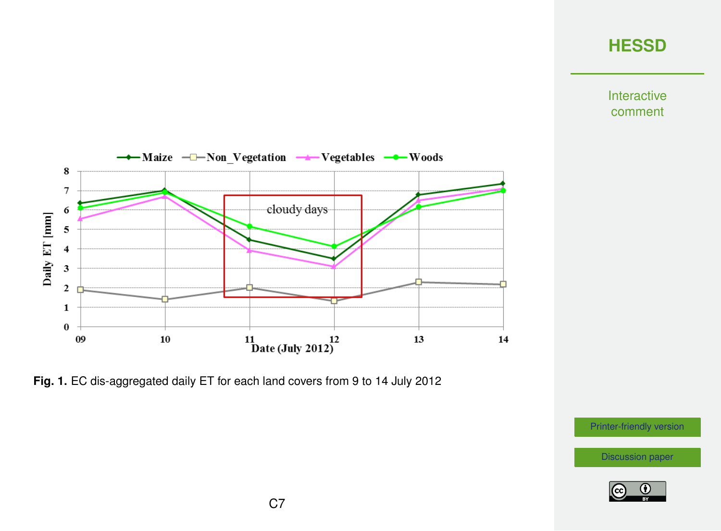# **[HESSD](http://www.hydrol-earth-syst-sci-discuss.net/)**

Interactive comment



**Fig. 1.** EC dis-aggregated daily ET for each land covers from 9 to 14 July 2012

[Printer-friendly version](http://www.hydrol-earth-syst-sci-discuss.net/hess-2016-602/hess-2016-602-AC1-print.pdf)

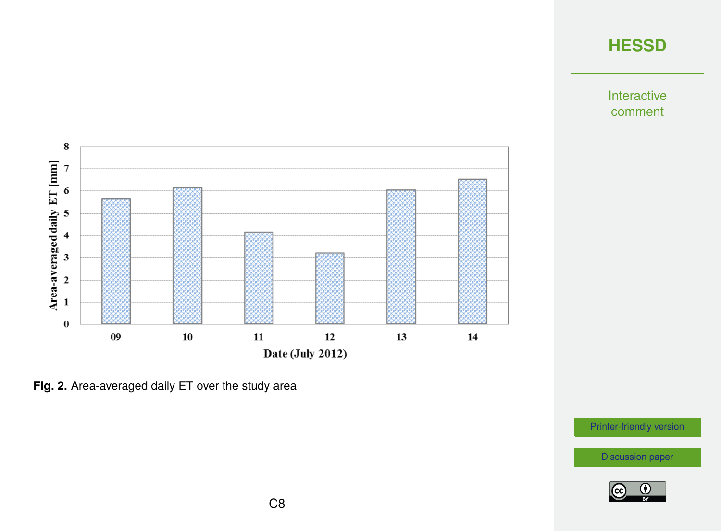

Interactive comment





[Printer-friendly version](http://www.hydrol-earth-syst-sci-discuss.net/hess-2016-602/hess-2016-602-AC1-print.pdf)